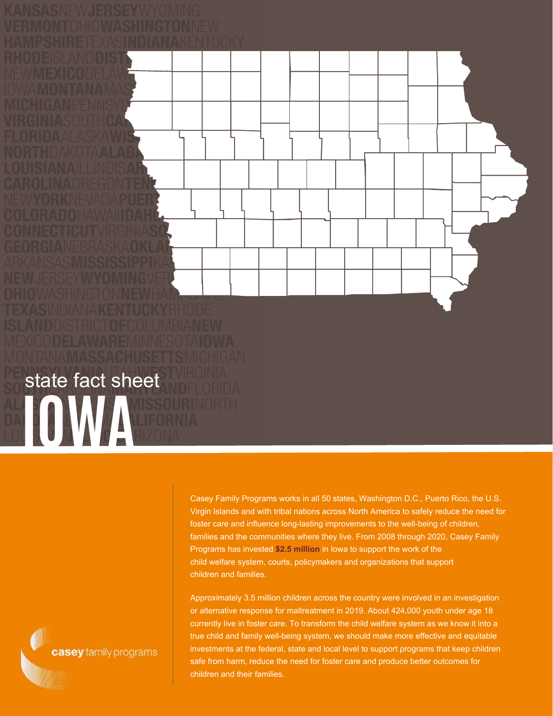Casey Family Programs works in all 50 states, Washington D.C., Puerto Rico, the U.S. Virgin Islands and with tribal nations across North America to safely reduce the need for foster care and influence long-lasting improvements to the well-being of children, families and the communities where they live. From 2008 through 2020, Casey Family Programs has invested **\$2.5 million** in Iowa to support the work of the

child welfare system, courts, policymakers and organizations that support children and families.

Approximately 3.5 million children across the country were involved in an investigation or alternative response for maltreatment in 2019. About 424,000 youth under age 18 currently live in foster care. To transform the child welfare system as we know it into a true child and family well-being system, we should make more effective and equitable investments at the federal, state and local level to support programs that keep children safe from harm, reduce the need for foster care and produce better outcomes for children and their families.

casey family programs

**IOWA**

state fact sheet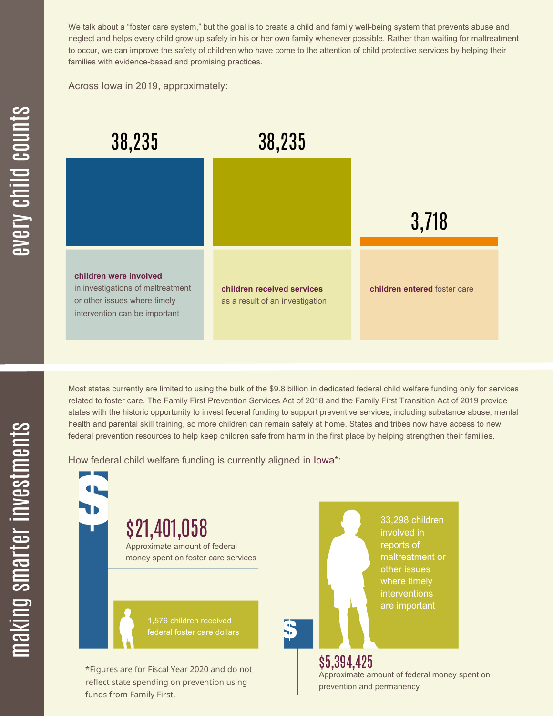We talk about a "foster care system," but the goal is to create a child and family well-being system that prevents abuse and neglect and helps every child grow up safely in his or her own family whenever possible. Rather than waiting for maltreatment to occur, we can improve the safety of children who have come to the attention of child protective services by helping their families with evidence-based and promising practices.

Across Iowa in 2019, approximately:



Most states currently are limited to using the bulk of the \$9.8 billion in dedicated federal child welfare funding only for services related to foster care. The Family First Prevention Services Act of 2018 and the Family First Transition Act of 2019 provide states with the historic opportunity to invest federal funding to support preventive services, including substance abuse, mental health and parental skill training, so more children can remain safely at home. States and tribes now have access to new federal prevention resources to help keep children safe from harm in the first place by helping strengthen their families.

How federal child welfare funding is currently aligned in Iowa\*:

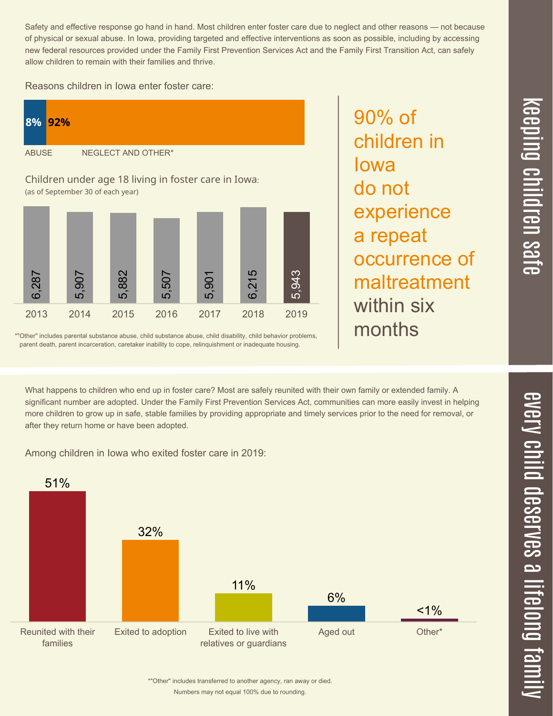$\overline{\phantom{1}}$  $\overline{\mathbf \Theta}$  $\overline{\mathbf{C}}$ <u>pin</u>  $\overline{\mathbf{C}}$  $\overline{\mathbf{C}}$  $\equiv$  $\overline{\mathbf{c}}$  $\overline{\phantom{0}}$  $\boldsymbol{\mathcal{O}}$ a  $\overrightarrow{\mathbf{e}}$ 

Safety and effective response go hand in hand. Most children enter foster care due to neglect and other reasons — not because of physical or sexual abuse. In Iowa, providing targeted and effective interventions as soon as possible, including by accessing new federal resources provided under the Family First Prevention Services Act and the Family First Transition Act, can safely allow children to remain with their families and thrive.

90% of

Iowa

do not

children in

experience

occurrence of

maltreatment

a repeat

within six

months

Reasons children in Iowa enter foster care:



\*"Other" includes parental substance abuse, child substance abuse, child disability, child behavior problems, parent death, parent incarceration, caretaker inability to cope, relinquishment or inadequate housing.

What happens to children who end up in foster care? Most are safely reunited with their own family or extended family. A significant number are adopted. Under the Family First Prevention Services Act, communities can more easily invest in helping more children to grow up in safe, stable families by providing appropriate and timely services prior to the need for removal, or after they return home or have been adopted.

Among children in Iowa who exited foster care in 2019:



Numbers may not equal 100% due to rounding. \*"Other" includes transferred to another agency, ran away or died.